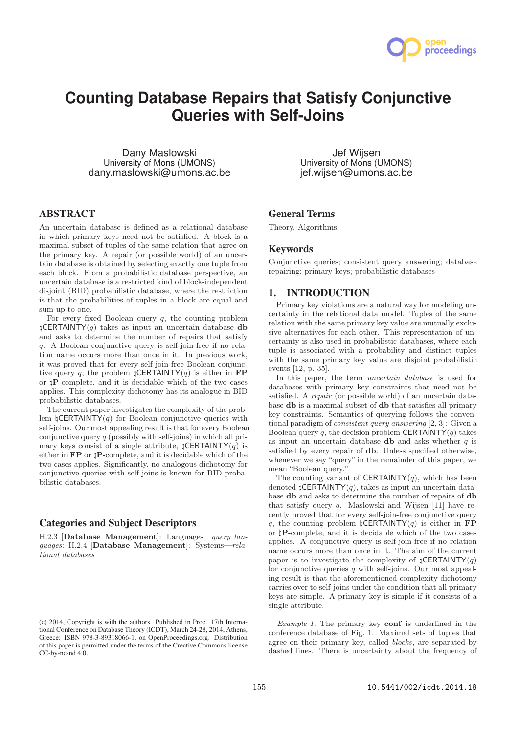

# **Counting Database Repairs that Satisfy Conjunctive Queries with Self-Joins**

Dany Maslowski University of Mons (UMONS) dany.maslowski@umons.ac.be

Jef Wijsen University of Mons (UMONS) jef.wijsen@umons.ac.be

# ABSTRACT

An uncertain database is defined as a relational database in which primary keys need not be satisfied. A block is a maximal subset of tuples of the same relation that agree on the primary key. A repair (or possible world) of an uncertain database is obtained by selecting exactly one tuple from each block. From a probabilistic database perspective, an uncertain database is a restricted kind of block-independent disjoint (BID) probabilistic database, where the restriction is that the probabilities of tuples in a block are equal and sum up to one.

For every fixed Boolean query  $q$ , the counting problem  $\sharp$ CERTAINTY(q) takes as input an uncertain database db and asks to determine the number of repairs that satisfy q. A Boolean conjunctive query is self-join-free if no relation name occurs more than once in it. In previous work, it was proved that for every self-join-free Boolean conjunctive query q, the problem  $\sharp$ CERTAINTY(q) is either in FP or  $\natural \bf{P}$  complete, and it is decidable which of the two cases applies. This complexity dichotomy has its analogue in BID probabilistic databases.

The current paper investigates the complexity of the problem  $\sharp$ **CERTAINTY** $(q)$  for Boolean conjunctive queries with self-joins. Our most appealing result is that for every Boolean conjunctive query  $q$  (possibly with self-joins) in which all primary keys consist of a single attribute,  $\sharp$ **CERTAINTY** $(q)$  is either in **FP** or  $\sharp$ **P**-complete, and it is decidable which of the two cases applies. Significantly, no analogous dichotomy for conjunctive queries with self-joins is known for BID probabilistic databases.

# Categories and Subject Descriptors

H.2.3 [Database Management]: Languages—query languages; H.2.4 [Database Management]: Systems—relational databases

## General Terms

Theory, Algorithms

## **Keywords**

Conjunctive queries; consistent query answering; database repairing; primary keys; probabilistic databases

## 1. INTRODUCTION

Primary key violations are a natural way for modeling uncertainty in the relational data model. Tuples of the same relation with the same primary key value are mutually exclusive alternatives for each other. This representation of uncertainty is also used in probabilistic databases, where each tuple is associated with a probability and distinct tuples with the same primary key value are disjoint probabilistic events [12, p. 35].

In this paper, the term uncertain database is used for databases with primary key constraints that need not be satisfied. A repair (or possible world) of an uncertain database db is a maximal subset of db that satisfies all primary key constraints. Semantics of querying follows the conventional paradigm of consistent query answering [2, 3]: Given a Boolean query q, the decision problem CERTAINTY $(q)$  takes as input an uncertain database **db** and asks whether  $q$  is satisfied by every repair of db. Unless specified otherwise, whenever we say "query" in the remainder of this paper, we mean "Boolean query."

The counting variant of **CERTAINTY** $(q)$ , which has been denoted  $\sharp$ CERTAINTY $(q)$ , takes as input an uncertain database db and asks to determine the number of repairs of db that satisfy query q. Maslowski and Wijsen [11] have recently proved that for every self-join-free conjunctive query q, the counting problem  $\sharp$ CERTAINTY(q) is either in FP or ♮P-complete, and it is decidable which of the two cases applies. A conjunctive query is self-join-free if no relation name occurs more than once in it. The aim of the current paper is to investigate the complexity of  $\mathsf{LCERTAINTY}(q)$ for conjunctive queries  $q$  with self-joins. Our most appealing result is that the aforementioned complexity dichotomy carries over to self-joins under the condition that all primary keys are simple. A primary key is simple if it consists of a single attribute.

Example 1. The primary key conf is underlined in the conference database of Fig. 1. Maximal sets of tuples that agree on their primary key, called blocks, are separated by dashed lines. There is uncertainty about the frequency of

<sup>(</sup>c) 2014, Copyright is with the authors. Published in Proc. 17th International Conference on Database Theory (ICDT), March 24-28, 2014, Athens, Greece: ISBN 978-3-89318066-1, on OpenProceedings.org. Distribution of this paper is permitted under the terms of the Creative Commons license  $CC-bv-nc-nd 4.0$ .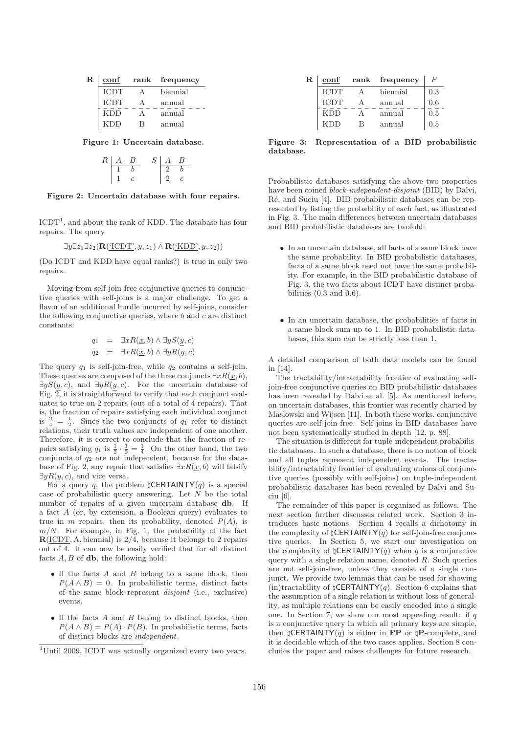| $\mathbf R$ | conf        | rank | frequency |  |
|-------------|-------------|------|-----------|--|
|             | <b>ICDT</b> |      | biennial  |  |
|             | ICDT        |      | annual    |  |

| <b>ICDT</b> |   | annual |
|-------------|---|--------|
| <b>KDD</b>  |   | annual |
| <b>KDD</b>  | R | annual |

Figure 1: Uncertain database.

$$
\begin{array}{c|cc}\nR & A & B & S & A & B \\
\hline\n1 & b & 2 & b & \\
1 & c & 2 & c & \\
\end{array}
$$

Figure 2: Uncertain database with four repairs.

 $\text{ICDT}^1$ , and about the rank of KDD. The database has four repairs. The query

$$
\exists y \exists z_1 \exists z_2 (\mathbf{R}(\underline{'}\underline{\mathrm{CDT}}'; y, z_1) \land \mathbf{R}(\underline{'}\underline{\mathrm{KDD}}'; y, z_2))
$$

(Do ICDT and KDD have equal ranks?) is true in only two repairs.

Moving from self-join-free conjunctive queries to conjunctive queries with self-joins is a major challenge. To get a flavor of an additional hurdle incurred by self-joins, consider the following conjunctive queries, where  $b$  and  $c$  are distinct constants:

$$
q_1 = \exists x R(\underline{x}, b) \land \exists y S(\underline{y}, c)
$$
  

$$
q_2 = \exists x R(\underline{x}, b) \land \exists y R(\underline{y}, c)
$$

The query  $q_1$  is self-join-free, while  $q_2$  contains a self-join. These queries are composed of the three conjuncts  $\exists x R(x, b)$ ,  $\exists y S(y, c)$ , and  $\exists y R(y, c)$ . For the uncertain database of Fig.  $2$ , it is straightforward to verify that each conjunct evaluates to true on 2 repairs (out of a total of 4 repairs). That is, the fraction of repairs satisfying each individual conjunct is  $\frac{2}{4} = \frac{1}{2}$ . Since the two conjuncts of  $q_1$  refer to distinct relations, their truth values are independent of one another. Therefore, it is correct to conclude that the fraction of repairs satisfying  $q_1$  is  $\frac{1}{2} \cdot \frac{1}{2} = \frac{1}{4}$ . On the other hand, the two conjuncts of  $q_2$  are not independent, because for the database of Fig. 2, any repair that satisfies  $\exists x R(\underline{x}, b)$  will falsify  $\exists y R(y, c)$ , and vice versa.

For a query q, the problem  $\sharp$ **CERTAINTY**(q) is a special case of probabilistic query answering. Let  $N$  be the total number of repairs of a given uncertain database db. If a fact A (or, by extension, a Boolean query) evaluates to true in m repairs, then its probability, denoted  $P(A)$ , is  $m/N$ . For example, in Fig. 1, the probability of the fact  $R(ICDT, A, biennial)$  is 2/4, because it belongs to 2 repairs out of 4. It can now be easily verified that for all distinct facts  $A, B$  of **, the following hold:** 

- $\bullet$  If the facts  $A$  and  $B$  belong to a same block, then  $P(A \wedge B) = 0$ . In probabilistic terms, distinct facts of the same block represent disjoint (i.e., exclusive) events.
- If the facts A and B belong to distinct blocks, then  $P(A \wedge B) = P(A) \cdot P(B)$ . In probabilistic terms, facts of distinct blocks are independent.

| $\mathbf R$ | conf        |   | rank frequency |     |
|-------------|-------------|---|----------------|-----|
|             | <b>ICDT</b> |   | biennial       | 0.3 |
|             | <b>ICDT</b> |   | annual         | 0.6 |
|             | <b>KDD</b>  |   | annual         | 0.5 |
|             | <b>KDD</b>  | В | annual         | 0.5 |

Figure 3: Representation of a BID probabilistic database.

Probabilistic databases satisfying the above two properties have been coined *block-independent-disjoint* (BID) by Dalvi, Ré, and Suciu [4]. BID probabilistic databases can be represented by listing the probability of each fact, as illustrated in Fig. 3. The main differences between uncertain databases and BID probabilistic databases are twofold:

- In an uncertain database, all facts of a same block have the same probability. In BID probabilistic databases, facts of a same block need not have the same probability. For example, in the BID probabilistic database of Fig. 3, the two facts about ICDT have distinct probabilities  $(0.3 \text{ and } 0.6)$ .
- In an uncertain database, the probabilities of facts in a same block sum up to 1. In BID probabilistic databases, this sum can be strictly less than 1.

A detailed comparison of both data models can be found in [14].

The tractability/intractability frontier of evaluating selfjoin-free conjunctive queries on BID probabilistic databases has been revealed by Dalvi et al. [5]. As mentioned before, on uncertain databases, this frontier was recently charted by Maslowski and Wijsen [11]. In both these works, conjunctive queries are self-join-free. Self-joins in BID databases have not been systematically studied in depth [12, p. 88].

The situation is different for tuple-independent probabilistic databases. In such a database, there is no notion of block and all tuples represent independent events. The tractability/intractability frontier of evaluating unions of conjunctive queries (possibly with self-joins) on tuple-independent probabilistic databases has been revealed by Dalvi and Suciu [6].

The remainder of this paper is organized as follows. The next section further discusses related work. Section 3 introduces basic notions. Section 4 recalls a dichotomy in the complexity of  $\mathsf{LCERTAINTY}(q)$  for self-join-free conjunctive queries. In Section 5, we start our investigation on the complexity of  $\sharp$ **CERTAINTY** $(q)$  when q is a conjunctive query with a single relation name, denoted  $R$ . Such queries are not self-join-free, unless they consist of a single conjunct. We provide two lemmas that can be used for showing (in)tractability of  $\sharp$ CERTAINTY(q). Section 6 explains that the assumption of a single relation is without loss of generality, as multiple relations can be easily encoded into a single one. In Section 7, we show our most appealing result: if  $q$ is a conjunctive query in which all primary keys are simple, then  $\sharp$ **CERTAINTY** $(q)$  is either in **FP** or  $\sharp$ **P**-complete, and it is decidable which of the two cases applies. Section 8 concludes the paper and raises challenges for future research.

<sup>&</sup>lt;sup>1</sup>Until 2009, ICDT was actually organized every two years.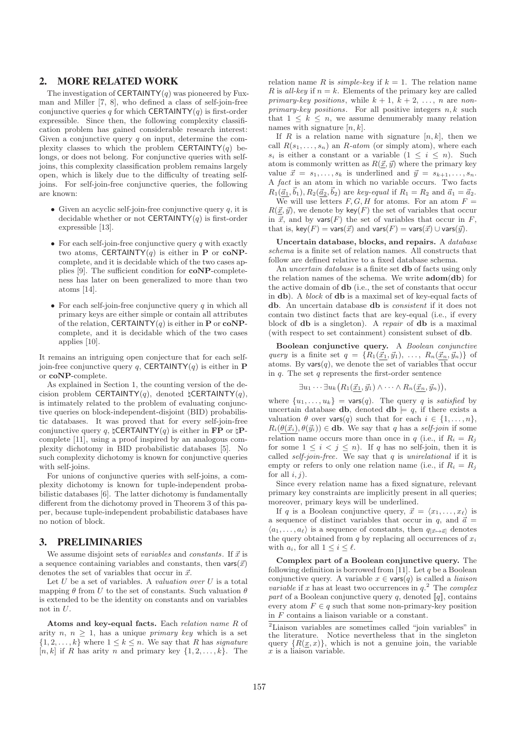## 2. MORE RELATED WORK

The investigation of **CERTAINTY** $(q)$  was pioneered by Fuxman and Miller [7, 8], who defined a class of self-join-free conjunctive queries q for which CERTAINTY $(q)$  is first-order expressible. Since then, the following complexity classification problem has gained considerable research interest: Given a conjunctive query  $q$  on input, determine the complexity classes to which the problem CERTAINTY $(q)$  belongs, or does not belong. For conjunctive queries with selfjoins, this complexity classification problem remains largely open, which is likely due to the difficulty of treating selfjoins. For self-join-free conjunctive queries, the following are known:

- Given an acyclic self-join-free conjunctive query  $q$ , it is decidable whether or not **CERTAINTY** $(q)$  is first-order expressible [13].
- For each self-join-free conjunctive query  $q$  with exactly two atoms, CERTAINTY $(q)$  is either in **P** or **coNP**complete, and it is decidable which of the two cases applies [9]. The sufficient condition for coNP-completeness has later on been generalized to more than two atoms [14].
- For each self-join-free conjunctive query  $q$  in which all primary keys are either simple or contain all attributes of the relation, CERTAINTY(q) is either in **P** or  $coNP$ complete, and it is decidable which of the two cases applies [10].

It remains an intriguing open conjecture that for each selfjoin-free conjunctive query q, CERTAINTY(q) is either in **P** or coNP-complete.

As explained in Section 1, the counting version of the decision problem CERTAINTY(q), denoted  $\sharp$ CERTAINTY(q), is intimately related to the problem of evaluating conjunctive queries on block-independent-disjoint (BID) probabilistic databases. It was proved that for every self-join-free conjunctive query q,  $\sharp$ CERTAINTY(q) is either in FP or  $\natural$ Pcomplete [11], using a proof inspired by an analogous complexity dichotomy in BID probabilistic databases [5]. No such complexity dichotomy is known for conjunctive queries with self-joins.

For unions of conjunctive queries with self-joins, a complexity dichotomy is known for tuple-independent probabilistic databases [6]. The latter dichotomy is fundamentally different from the dichotomy proved in Theorem 3 of this paper, because tuple-independent probabilistic databases have no notion of block.

## 3. PRELIMINARIES

We assume disjoint sets of *variables* and *constants*. If  $\vec{x}$  is a sequence containing variables and constants, then  $\text{vars}(\vec{x})$ denotes the set of variables that occur in  $\vec{x}$ .

Let  $U$  be a set of variables. A valuation over  $U$  is a total mapping  $\theta$  from U to the set of constants. Such valuation  $\theta$ is extended to be the identity on constants and on variables not in U.

Atoms and key-equal facts. Each relation name R of arity n,  $n \geq 1$ , has a unique *primary key* which is a set  $\{1, 2, \ldots, k\}$  where  $1 \leq k \leq n$ . We say that R has *signature*  $[n, k]$  if R has arity n and primary key  $\{1, 2, \ldots, k\}$ . The relation name R is simple-key if  $k = 1$ . The relation name R is all-key if  $n = k$ . Elements of the primary key are called primary-key positions, while  $k + 1$ ,  $k + 2$ , ..., n are non $primary-key$  positions. For all positive integers  $n, k$  such that  $1 \leq k \leq n$ , we assume denumerably many relation names with signature  $[n, k]$ .

If R is a relation name with signature  $[n, k]$ , then we call  $R(s_1, \ldots, s_n)$  an  $R\text{-}atom$  (or simply atom), where each  $s_i$  is either a constant or a variable  $(1 \leq i \leq n)$ . Such atom is commonly written as  $R(\vec{x}, \vec{y})$  where the primary key value  $\vec{x} = s_1, \ldots, s_k$  is underlined and  $\vec{y} = s_{k+1}, \ldots, s_n$ . A fact is an atom in which no variable occurs. Two facts  $R_1(\vec{a}_1, \vec{b}_1), R_2(\vec{a}_2, \vec{b}_2)$  are key-equal if  $R_1 = R_2$  and  $\vec{a}_1 = \vec{a}_2$ .

We will use letters  $F, G, H$  for atoms. For an atom  $F =$  $R(\vec{x}, \vec{y})$ , we denote by key(F) the set of variables that occur in  $\vec{x}$ , and by vars(F) the set of variables that occur in F, that is, key(F) = vars( $\vec{x}$ ) and vars(F) = vars( $\vec{x}$ ) ∪ vars( $\vec{y}$ ).

Uncertain database, blocks, and repairs. A database schema is a finite set of relation names. All constructs that follow are defined relative to a fixed database schema.

An uncertain database is a finite set db of facts using only the relation names of the schema. We write  $\mathbf{adom}(\mathbf{db})$  for the active domain of db (i.e., the set of constants that occur in db). A block of db is a maximal set of key-equal facts of db. An uncertain database db is consistent if it does not contain two distinct facts that are key-equal (i.e., if every block of db is a singleton). A repair of db is a maximal (with respect to set containment) consistent subset of db.

Boolean conjunctive query. A Boolean conjunctive query is a finite set  $q = \{R_1(\vec{x}_1, \vec{y}_1), \ldots, R_n(\vec{x}_n, \vec{y}_n)\}\$ of atoms. By vars $(q)$ , we denote the set of variables that occur in  $q$ . The set  $q$  represents the first-order sentence

$$
\exists u_1 \cdots \exists u_k \big( R_1(\vec{x}_1, \vec{y}_1) \wedge \cdots \wedge R_n(\vec{x}_n, \vec{y}_n) \big),
$$

where  $\{u_1, \ldots, u_k\}$  = vars $(q)$ . The query q is satisfied by uncertain database **db**, denoted **db**  $\models q$ , if there exists a valuation  $\theta$  over vars $(q)$  such that for each  $i \in \{1, \ldots, n\}$ ,  $R_i(\theta(\vec{x}_i), \theta(\vec{y}_i)) \in \textbf{db}$ . We say that q has a self-join if some relation name occurs more than once in q (i.e., if  $R_i = R_j$ ) for some  $1 \leq i < j \leq n$ ). If q has no self-join, then it is called *self-join-free*. We say that  $q$  is *unirelational* if it is empty or refers to only one relation name (i.e., if  $R_i = R_i$ ) for all  $i, j$ .

Since every relation name has a fixed signature, relevant primary key constraints are implicitly present in all queries; moreover, primary keys will be underlined.

If q is a Boolean conjunctive query,  $\vec{x} = \langle x_1, \ldots, x_\ell \rangle$  is a sequence of distinct variables that occur in q, and  $\vec{a} =$  $\langle a_1, \ldots, a_\ell \rangle$  is a sequence of constants, then  $q_{[\vec{x} \mapsto \vec{a}]}$  denotes the query obtained from  $q$  by replacing all occurrences of  $x_i$ with  $a_i$ , for all  $1 \leq i \leq \ell$ .

Complex part of a Boolean conjunctive query. The following definition is borrowed from [11]. Let  $q$  be a Boolean conjunctive query. A variable  $x \in \text{vars}(q)$  is called a *liaison variable* if x has at least two occurrences in  $q^2$ . The *complex* part of a Boolean conjunctive query q, denoted  $\llbracket q \rrbracket$ , contains every atom  $F \in q$  such that some non-primary-key position in F contains a liaison variable or a constant.

<sup>&</sup>lt;sup>2</sup>Liaison variables are sometimes called "join variables" in the literature. Notice nevertheless that in the singleton query  $\{R(\underline{x}, x)\}\$ , which is not a genuine join, the variable  $\overline{x}$  is a liaison variable.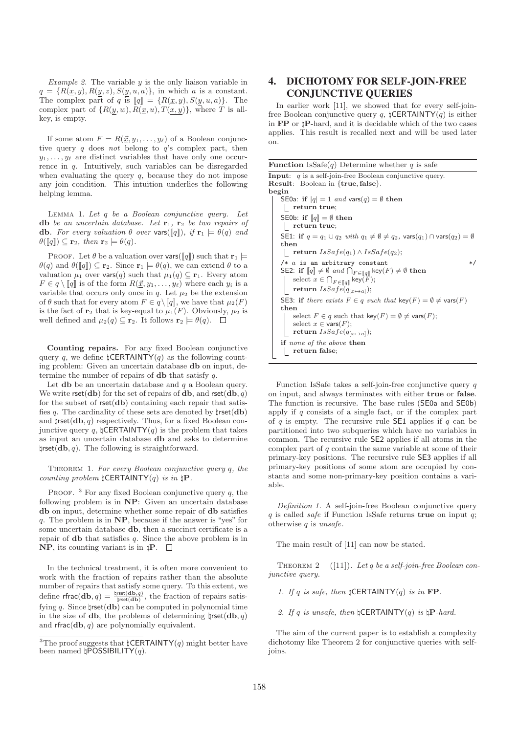Example 2. The variable  $y$  is the only liaison variable in  $q = \{R(\underline{x}, y), R(y, z), S(y, u, a)\},\$ in which a is a constant. The complex part of q is  $[q] = \{R(\underline{x}, y), S(y, u, a)\}.$  The complex part of  $\{R(y, w), R(\underline{x}, u), T(x, y)\}$ , where T is allkey, is empty.

If some atom  $F = R(\underline{\vec{x}}, y_1, \ldots, y_\ell)$  of a Boolean conjunctive query q does not belong to q's complex part, then  $y_1, \ldots, y_\ell$  are distinct variables that have only one occurrence in q. Intuitively, such variables can be disregarded when evaluating the query  $q$ , because they do not impose any join condition. This intuition underlies the following helping lemma.

Lemma 1. Let q be a Boolean conjunctive query. Let db be an uncertain database. Let  $\mathbf{r}_1$ ,  $\mathbf{r}_2$  be two repairs of **db**. For every valuation  $\theta$  over vars([q]]), if  $\mathbf{r}_1 \models \theta(q)$  and  $\theta(\llbracket q \rrbracket) \subseteq \mathbf{r}_2$ , then  $\mathbf{r}_2 \models \theta(q)$ .

PROOF. Let  $\theta$  be a valuation over vars( $[q]$ ) such that  $\mathbf{r}_1 \models$  $\theta(q)$  and  $\theta(\llbracket q \rrbracket) \subseteq \mathbf{r}_2$ . Since  $\mathbf{r}_1 \models \theta(q)$ , we can extend  $\theta$  to a valuation  $\mu_1$  over vars $(q)$  such that  $\mu_1(q) \subseteq \mathbf{r}_1$ . Every atom  $F \in q \setminus [q]$  is of the form  $R(\underline{\vec{x}}, y_1, \ldots, y_\ell)$  where each  $y_i$  is a variable that occurs only once in  $q$ . Let  $\mu_2$  be the extension of  $\theta$  such that for every atom  $F \in q \setminus [q]$ , we have that  $\mu_2(F)$ is the fact of  $\mathbf{r}_2$  that is key-equal to  $\mu_1(F)$ . Obviously,  $\mu_2$  is well defined and  $\mu_2(q) \subseteq \mathbf{r}_2$ . It follows  $\mathbf{r}_2 \models \theta(q)$ .  $\Box$ 

Counting repairs. For any fixed Boolean conjunctive query q, we define  $\sharp$ CERTAINTY(q) as the following counting problem: Given an uncertain database db on input, determine the number of repairs of  $db$  that satisfy  $q$ .

Let  $db$  be an uncertain database and  $q$  a Boolean query. We write  $\text{rset}(\textbf{db})$  for the set of repairs of **db**, and  $\text{rset}(\textbf{db}, q)$ for the subset of  $rset(ab)$  containing each repair that satisfies q. The cardinality of these sets are denoted by  $\text{first}(\mathbf{db})$ and  $\text{|rset(ab, q)|}$  respectively. Thus, for a fixed Boolean conjunctive query q,  $\sharp$ CERTAINTY(q) is the problem that takes as input an uncertain database db and asks to determine  $\mathsf{d}rset(\mathbf{db}, q)$ . The following is straightforward.

THEOREM 1. For every Boolean conjunctive query q, the counting problem  $\sharp$ CERTAINTY(q) is in  $\sharp$ **P**.

PROOF.  $3$  For any fixed Boolean conjunctive query q, the following problem is in NP: Given an uncertain database db on input, determine whether some repair of db satisfies q. The problem is in  $\bf NP$ , because if the answer is "yes" for some uncertain database db, then a succinct certificate is a repair of  $\bf{db}$  that satisfies q. Since the above problem is in **NP**, its counting variant is in  $\sharp P$ .  $\Box$ 

In the technical treatment, it is often more convenient to work with the fraction of repairs rather than the absolute number of repairs that satisfy some query. To this extent, we define rfrac $(d\mathbf{b}, q) = \frac{\text{Irset}(d\mathbf{b}, q)}{\text{Irset}(d\mathbf{b})}$ , the fraction of repairs satisfying q. Since  $\text{|rset(ab)}$  can be computed in polynomial time in the size of **db**, the problems of determining  $\sharp \text{rset}(\textbf{db}, q)$ and  $\textsf{rfrac}(\textbf{db}, q)$  are polynomially equivalent.

# 4. DICHOTOMY FOR SELF-JOIN-FREE CONJUNCTIVE QUERIES

In earlier work [11], we showed that for every self-joinfree Boolean conjunctive query q,  $\sharp$ CERTAINTY(q) is either in FP or ♮P-hard, and it is decidable which of the two cases applies. This result is recalled next and will be used later on.

**Function** IsSafe $(q)$  Determine whether q is safe Input: q is a self-join-free Boolean conjunctive query. Result: Boolean in {true, false}. begin SE0a: if  $|q| = 1$  and vars $(q) = \emptyset$  then return true; SE0b: if  $[q] = \emptyset$  then return true; SE1: if  $q = q_1 \cup q_2$  with  $q_1 \neq \emptyset \neq q_2$ , vars $(q_1) \cap \text{vars}(q_2) = \emptyset$ then  $\lbrack$  return IsSafe(q<sub>1</sub>) ∧ IsSafe(q<sub>2</sub>);  $/* a$  is an arbitrary constant  $*$ / SE2: if  $\llbracket q \rrbracket \neq \emptyset$  and  $\bigcap_{F \in \llbracket q \rrbracket} \text{key}(F) \neq \emptyset$  then select  $x\in \bigcap_{F\in \llbracket q\rrbracket} \mathsf{key}(F);$  $\texttt{return}~ Issafe(q_{[x \mapsto a]});$ SE3: if there exists  $F \in q$  such that key(F) =  $\emptyset \neq \text{vars}(F)$ then select  $F \in q$  such that key $(F) = \emptyset \neq \text{vars}(F)$ ; select  $x \in \text{vars}(F)$ ; return  $IsSafe(q_{[x\mapsto a]})$ ; if none of the above then return false;  $\mathbb{R}$ 

Function IsSafe takes a self-join-free conjunctive query  $q$ on input, and always terminates with either true or false. The function is recursive. The base rules (SE0a and SE0b) apply if  $q$  consists of a single fact, or if the complex part of q is empty. The recursive rule  $\mathsf{SE1}$  applies if q can be partitioned into two subqueries which have no variables in common. The recursive rule SE2 applies if all atoms in the complex part of  $q$  contain the same variable at some of their primary-key positions. The recursive rule SE3 applies if all primary-key positions of some atom are occupied by constants and some non-primary-key position contains a variable.

Definition 1. A self-join-free Boolean conjunctive query  $q$  is called *safe* if Function IsSafe returns **true** on input  $q$ ; otherwise  $q$  is unsafe.

The main result of [11] can now be stated.

THEOREM 2  $([11])$ . Let q be a self-join-free Boolean conjunctive query.

1. If q is safe, then  $\sharp$ CERTAINTY(q) is in FP.

2. If q is unsafe, then  $\sharp$ CERTAINTY(q) is  $\natural$ P-hard.

The aim of the current paper is to establish a complexity dichotomy like Theorem 2 for conjunctive queries with selfjoins.

<sup>&</sup>lt;sup>3</sup>The proof suggests that  $\mathsf{LCERTAINTY}(q)$  might better have been named  $\natural$ POSSIBILITY(q).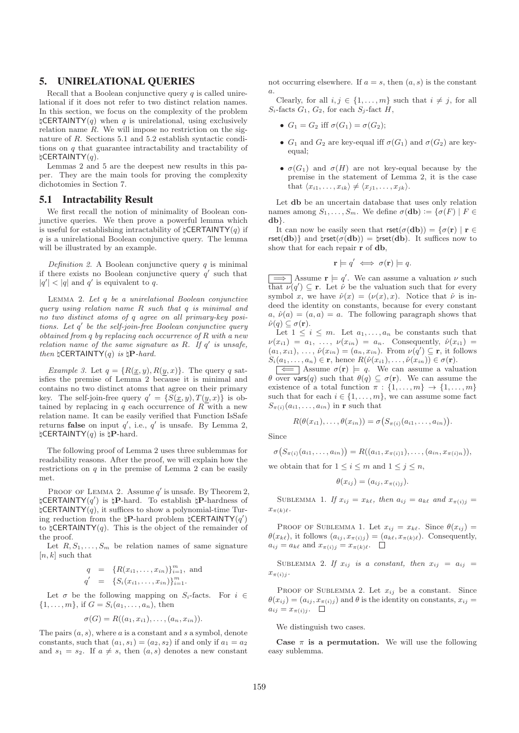# 5. UNIRELATIONAL QUERIES

Recall that a Boolean conjunctive query  $q$  is called unirelational if it does not refer to two distinct relation names. In this section, we focus on the complexity of the problem  $\sharp$ **CERTAINTY**(q) when q is unirelational, using exclusively relation name  $R$ . We will impose no restriction on the signature of R. Sections 5.1 and 5.2 establish syntactic conditions on q that guarantee intractability and tractability of  $\natural$ CERTAINTY $(q)$ .

Lemmas 2 and 5 are the deepest new results in this paper. They are the main tools for proving the complexity dichotomies in Section 7.

#### 5.1 Intractability Result

We first recall the notion of minimality of Boolean conjunctive queries. We then prove a powerful lemma which is useful for establishing intractability of  $\mathcal{L}$ CERTAINTY(q) if  $q$  is a unirelational Boolean conjunctive query. The lemma will be illustrated by an example.

Definition 2. A Boolean conjunctive query  $q$  is minimal if there exists no Boolean conjunctive query  $q'$  such that  $|q'| < |q|$  and q' is equivalent to q.

Lemma 2. Let q be a unirelational Boolean conjunctive query using relation name R such that q is minimal and no two distinct atoms of q agree on all primary-key positions. Let q ′ be the self-join-free Boolean conjunctive query obtained from q by replacing each occurrence of R with a new relation name of the same signature as  $R$ . If  $q'$  is unsafe, then  $\sharp$ CERTAINTY(q) is  $\sharp$ **P**-hard.

Example 3. Let  $q = \{R(\underline{x}, y), R(y, x)\}\$ . The query q satisfies the premise of Lemma 2 because it is minimal and contains no two distinct atoms that agree on their primary key. The self-join-free query  $q' = \{S(\underline{x}, y), T(y, x)\}\$ is obtained by replacing in q each occurrence of  $R$  with a new relation name. It can be easily verified that Function IsSafe returns false on input  $q'$ , i.e.,  $q'$  is unsafe. By Lemma 2,  $\sharp$ CERTAINTY(q) is  $\natural$ P-hard.

The following proof of Lemma 2 uses three sublemmas for readability reasons. After the proof, we will explain how the restrictions on  $q$  in the premise of Lemma 2 can be easily met.

PROOF OF LEMMA 2. Assume  $q'$  is unsafe. By Theorem 2,  $\natural$ CERTAINTY(q') is  $\natural$ P-hard. To establish  $\natural$ P-hardness of  $\sharp$ CERTAINTY(q), it suffices to show a polynomial-time Turing reduction from the  $\natural$ P-hard problem  $\natural$ CERTAINTY(q') to  $\sharp$ **CERTAINTY**(*q*). This is the object of the remainder of the proof.

Let  $R, S_1, \ldots, S_m$  be relation names of same signature  $[n, k]$  such that

$$
q = \{R(x_{i1},...,x_{in})\}_{i=1}^m, \text{ and}
$$
  

$$
q' = \{S_i(x_{i1},...,x_{in})\}_{i=1}^m.
$$

Let  $\sigma$  be the following mapping on  $S_i$ -facts. For  $i \in$  $\{1, \ldots, m\}$ , if  $G = S_i(a_1, \ldots, a_n)$ , then

$$
\sigma(G) = R((a_1,x_{i1}),\ldots,(a_n,x_{in})).
$$

The pairs  $(a, s)$ , where a is a constant and s a symbol, denote constants, such that  $(a_1, s_1) = (a_2, s_2)$  if and only if  $a_1 = a_2$ and  $s_1 = s_2$ . If  $a \neq s$ , then  $(a, s)$  denotes a new constant

not occurring elsewhere. If  $a = s$ , then  $(a, s)$  is the constant a.

Clearly, for all  $i, j \in \{1, ..., m\}$  such that  $i \neq j$ , for all  $S_i$ -facts  $G_1, G_2$ , for each  $S_i$ -fact  $H$ ,

- $G_1 = G_2$  iff  $\sigma(G_1) = \sigma(G_2)$ ;
- $G_1$  and  $G_2$  are key-equal iff  $\sigma(G_1)$  and  $\sigma(G_2)$  are keyequal;
- $\sigma(G_1)$  and  $\sigma(H)$  are not key-equal because by the premise in the statement of Lemma 2, it is the case that  $\langle x_{i1}, \ldots, x_{ik} \rangle \neq \langle x_{j1}, \ldots, x_{jk} \rangle$ .

Let db be an uncertain database that uses only relation names among  $S_1, \ldots, S_m$ . We define  $\sigma(\mathbf{db}) := {\sigma(F) | F \in \mathcal{F}}$ db}.

It can now be easily seen that  $\text{rset}(\sigma(\mathbf{db})) = {\sigma(\mathbf{r}) \mid \mathbf{r}} \in$ rset(db)} and  $\text{Irset}(\sigma(\mathbf{db})) = \text{Irset}(\mathbf{db})$ . It suffices now to show that for each repair r of db,

$$
\mathbf{r} \models q' \iff \sigma(\mathbf{r}) \models q.
$$

 $\Rightarrow$  Assume  $\mathbf{r} \models q'$ . We can assume a valuation  $\nu$  such that  $\nu(q') \subseteq \mathbf{r}$ . Let  $\hat{\nu}$  be the valuation such that for every symbol x, we have  $\hat{\nu}(x) = (\nu(x), x)$ . Notice that  $\hat{\nu}$  is indeed the identity on constants, because for every constant  $a, \hat{\nu}(a) = (a, a) = a$ . The following paragraph shows that  $\hat{\nu}(q) \subseteq \sigma(\mathbf{r}).$ 

Let  $1 \leq i \leq m$ . Let  $a_1, \ldots, a_n$  be constants such that  $\nu(x_{i1}) = a_1, \ldots, \nu(x_{in}) = a_n$ . Consequently,  $\hat{\nu}(x_{i1}) =$  $(a_1, x_{i1}), \ldots, \hat{\nu}(x_{in}) = (a_n, x_{in}).$  From  $\nu(q') \subseteq \mathbf{r}$ , it follows  $S_i(a_1, \ldots, a_n) \in \mathbf{r}$ , hence  $R(\hat{\nu}(x_{i1}), \ldots, \hat{\nu}(x_{in})) \in \sigma(\mathbf{r})$ .

 $\boxed{\Leftarrow}$  Assume  $\sigma(\mathbf{r}) \models q$ . We can assume a valuation  $\theta$  over vars(q) such that  $\theta(q) \subseteq \sigma(\mathbf{r})$ . We can assume the existence of a total function  $\pi$  :  $\{1, \ldots, m\} \rightarrow \{1, \ldots, m\}$ such that for each  $i \in \{1, \ldots, m\}$ , we can assume some fact  $S_{\pi(i)}(a_{i1}, \ldots, a_{in})$  in **r** such that

$$
R(\theta(x_{i1}),\ldots,\theta(x_{in}))=\sigma\big(S_{\pi(i)}(a_{i1},\ldots,a_{in})\big).
$$

Since

 $\sigma\big(S_{\pi(i)}(a_{i1},\ldots,a_{in})\big)=R((a_{i1},x_{\pi(i)1}),\ldots,(a_{in},x_{\pi(i)n})),$ 

we obtain that for  $1 \leq i \leq m$  and  $1 \leq j \leq n$ ,

$$
\theta(x_{ij}) = (a_{ij}, x_{\pi(i)j}).
$$

SUBLEMMA 1. If  $x_{ij} = x_{k\ell}$ , then  $a_{ij} = a_{k\ell}$  and  $x_{\pi(i)j} =$  $x_{\pi(k)\ell}$ .

PROOF OF SUBLEMMA 1. Let  $x_{ij} = x_{k\ell}$ . Since  $\theta(x_{ij}) =$  $\theta(x_{k\ell})$ , it follows  $(a_{ij}, x_{\pi(i)j}) = (a_{k\ell}, x_{\pi(k)\ell})$ . Consequently,  $a_{ij} = a_{k\ell}$  and  $x_{\pi(i)j} = x_{\pi(k)\ell}$ .  $\Box$ 

SUBLEMMA 2. If  $x_{ij}$  is a constant, then  $x_{ij} = a_{ij}$  $x_{\pi(i)j}$ .

PROOF OF SUBLEMMA 2. Let  $x_{ij}$  be a constant. Since  $\theta(x_{ij}) = (a_{ij}, x_{\pi(i)j})$  and  $\theta$  is the identity on constants,  $x_{ij} =$  $a_{ij} = x_{\pi(i)j}$ .

We distinguish two cases.

Case  $\pi$  is a permutation. We will use the following easy sublemma.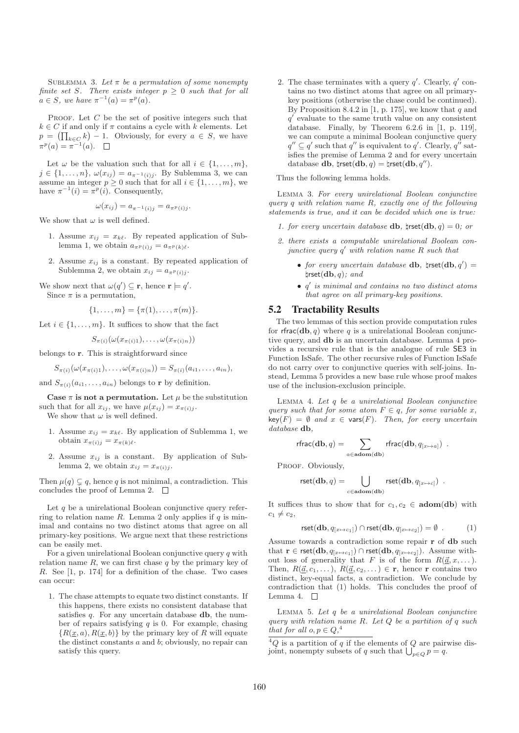SUBLEMMA 3. Let  $\pi$  be a permutation of some nonempty finite set S. There exists integer  $p \geq 0$  such that for all  $a \in S$ , we have  $\pi^{-1}(a) = \pi^p(a)$ .

PROOF. Let  $C$  be the set of positive integers such that  $k \in C$  if and only if  $\pi$  contains a cycle with k elements. Let  $p = (\prod_{k \in C} k) - 1$ . Obviously, for every  $a \in S$ , we have  $\pi^p(a) = \pi^{-1}(a).$ 

Let  $\omega$  be the valuation such that for all  $i \in \{1, \ldots, m\},\$  $j \in \{1, \ldots, n\}, \ \omega(x_{ij}) = a_{\pi^{-1}(i)j}$ . By Sublemma 3, we can assume an integer  $p \geq 0$  such that for all  $i \in \{1, \ldots, m\}$ , we have  $\pi^{-1}(i) = \pi^p(i)$ . Consequently,

$$
\omega(x_{ij}) = a_{\pi^{-1}(i)j} = a_{\pi^p(i)j}.
$$

We show that  $\omega$  is well defined.

- 1. Assume  $x_{ij} = x_{k\ell}$ . By repeated application of Sublemma 1, we obtain  $a_{\pi^p(i)j} = a_{\pi^p(k)\ell}$ .
- 2. Assume  $x_{ij}$  is a constant. By repeated application of Sublemma 2, we obtain  $x_{ij} = a_{\pi^p(i)i}$ .

We show next that  $\omega(q') \subseteq \mathbf{r}$ , hence  $\mathbf{r} \models q'$ . Since  $\pi$  is a permutation,

$$
\{1,\ldots,m\} = \{\pi(1),\ldots,\pi(m)\}.
$$

Let  $i \in \{1, \ldots, m\}$ . It suffices to show that the fact

$$
S_{\pi(i)}(\omega(x_{\pi(i)1}),\ldots,\omega(x_{\pi(i)n}))
$$

belongs to r. This is straightforward since

$$
S_{\pi(i)}(\omega(x_{\pi(i)1}),\ldots,\omega(x_{\pi(i)n}))=S_{\pi(i)}(a_{i1},\ldots,a_{in}),
$$

and  $S_{\pi(i)}(a_{i1}, \ldots, a_{in})$  belongs to **r** by definition.

Case  $\pi$  is not a permutation. Let  $\mu$  be the substitution such that for all  $x_{ij}$ , we have  $\mu(x_{ij}) = x_{\pi(i)j}$ . We show that  $\omega$  is well defined.

- 1. Assume  $x_{ij} = x_{k\ell}$ . By application of Sublemma 1, we obtain  $x_{\pi(i)j} = x_{\pi(k)\ell}$ .
- 2. Assume  $x_{ij}$  is a constant. By application of Sublemma 2, we obtain  $x_{ij} = x_{\pi(i)j}$ .

Then  $\mu(q) \subset q$ , hence q is not minimal, a contradiction. This concludes the proof of Lemma 2.  $\square$ 

Let  $q$  be a unirelational Boolean conjunctive query referring to relation name R. Lemma 2 only applies if  $q$  is minimal and contains no two distinct atoms that agree on all primary-key positions. We argue next that these restrictions can be easily met.

For a given unirelational Boolean conjunctive query q with relation name  $R$ , we can first chase  $q$  by the primary key of R. See [1, p. 174] for a definition of the chase. Two cases can occur:

1. The chase attempts to equate two distinct constants. If this happens, there exists no consistent database that satisfies  $q$ . For any uncertain database  $db$ , the number of repairs satisfying  $q$  is 0. For example, chasing  ${R(\underline{x}, a), R(\underline{x}, b)}$  by the primary key of R will equate the distinct constants  $a$  and  $b$ ; obviously, no repair can satisfy this query.

2. The chase terminates with a query  $q'$ . Clearly,  $q'$  contains no two distinct atoms that agree on all primarykey positions (otherwise the chase could be continued). By Proposition 8.4.2 in [1, p. 175], we know that  $q$  and q ′ evaluate to the same truth value on any consistent database. Finally, by Theorem 6.2.6 in [1, p. 119], we can compute a minimal Boolean conjunctive query  $q'' \subseteq q'$  such that  $q''$  is equivalent to  $q'$ . Clearly,  $q''$  satisfies the premise of Lemma 2 and for every uncertain database db,  $\text{first}(\textbf{db}, q) = \text{first}(\textbf{db}, q'')$ .

Thus the following lemma holds.

Lemma 3. For every unirelational Boolean conjunctive query q with relation name R, exactly one of the following statements is true, and it can be decided which one is true:

- 1. for every uncertain database **db**,  $\phi$ **x**  $\phi$ **x**  $\phi$  $= 0$ ; or
- 2. there exists a computable unirelational Boolean conjunctive query q ′ with relation name R such that
	- for every uncertain database db,  $\phi$  |  $\phi$ |  $=$  $\text{first}(\textbf{db}, q)$ ; and
	- $q'$  is minimal and contains no two distinct atoms that agree on all primary-key positions.

## 5.2 Tractability Results

The two lemmas of this section provide computation rules for rfrac( $db, q$ ) where q is a unirelational Boolean conjunctive query, and db is an uncertain database. Lemma 4 provides a recursive rule that is the analogue of rule SE3 in Function IsSafe. The other recursive rules of Function IsSafe do not carry over to conjunctive queries with self-joins. Instead, Lemma 5 provides a new base rule whose proof makes use of the inclusion-exclusion principle.

Lemma 4. Let q be a unirelational Boolean conjunctive query such that for some atom  $F \in q$ , for some variable x,  $key(F) = \emptyset$  and  $x \in vars(F)$ . Then, for every uncertain database **db**.

$$
\text{rfrac}(\mathbf{db},q) = \sum_{a \in \mathbf{adom}(\mathbf{db})} \text{rfrac}(\mathbf{db},q_{[x \mapsto a]}) \enspace .
$$

PROOF. Obviously,

$$
\text{rset}(\mathbf{db},q) = \bigcup_{c \in \mathbf{adom}(\mathbf{db})} \text{rset}(\mathbf{db},q_{[x \mapsto c]}) \enspace .
$$

It suffices thus to show that for  $c_1, c_2 \in \text{adom}(\text{db})$  with  $c_1 \neq c_2$ ,

$$
\text{rset}(\mathbf{db}, q_{[x \mapsto c_1]}) \cap \text{rset}(\mathbf{db}, q_{[x \mapsto c_2]}) = \emptyset . \tag{1}
$$

Assume towards a contradiction some repair r of db such that  $\mathbf{r} \in \text{rset}(\mathbf{db}, q_{[x \mapsto c_1]}) \cap \text{rset}(\mathbf{db}, q_{[x \mapsto c_2]})$ . Assume without loss of generality that F is of the form  $R(\vec{a}, x, \dots)$ . Then,  $R(\underline{\vec{a}}, c_1, \dots), R(\underline{\vec{a}}, c_2, \dots) \in \mathbf{r}$ , hence r contains two distinct, key-equal facts, a contradiction. We conclude by contradiction that (1) holds. This concludes the proof of Lemma 4.  $\Box$ 

Lemma 5. Let q be a unirelational Boolean conjunctive query with relation name  $R$ . Let  $Q$  be a partition of  $q$  such that for all  $o, p \in Q$ ,<sup>4</sup>

 ${}^4Q$  is a partition of q if the elements of Q are pairwise disjoint, nonempty subsets of q such that  $\bigcup_{p\in Q} p = q$ .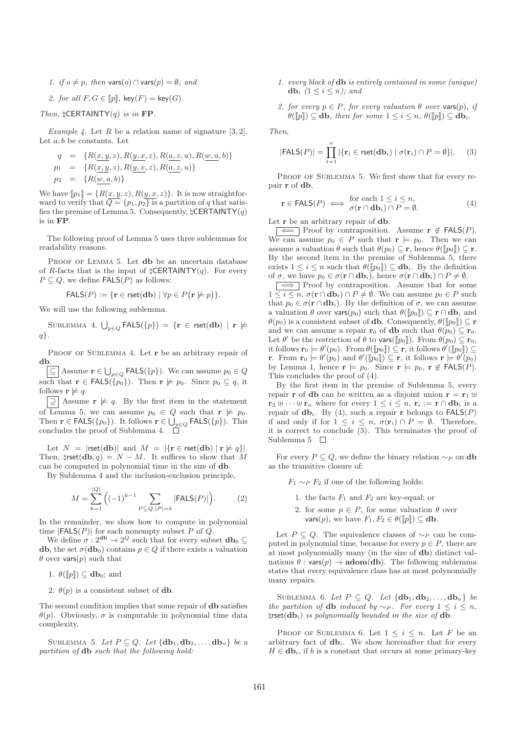1. if  $o \neq p$ , then vars( $o) \cap$  vars( $p) = \emptyset$ ; and

2. for all 
$$
F, G \in [p]
$$
,  $key(F) = key(G)$ .

Then,  $\sharp$ CERTAINTY(q) is in FP.

Example 4. Let R be a relation name of signature [3, 2]. Let  $a, b$  be constants. Let

$$
q = \{R(\underline{x}, \underline{y}, z), R(\underline{y}, \underline{x}, z), R(\underline{a}, \underline{z}, u), R(\underline{w}, \underline{a}, b)\}
$$
  
\n
$$
p_1 = \{R(\underline{x}, \underline{y}, z), R(\underline{y}, \underline{x}, z), R(\underline{a}, \underline{z}, u)\}
$$
  
\n
$$
p_2 = \{R(\underline{w}, \underline{a}, b)\}
$$

We have  $[\![p_1]\!] = \{R(x, y, z), R(y, x, z)\}.$  It is now straightforward to verify that  $\overline{Q} = \{p_1, p_2\}$  is a partition of q that satisfies the premise of Lemma 5. Consequently,  $\sharp$ **CERTAINTY** $(q)$ is in FP.

The following proof of Lemma 5 uses three sublemmas for readability reasons.

PROOF OF LEMMA 5. Let **db** be an uncertain database of R-facts that is the input of  $\sharp$ CERTAINTY(q). For every  $P \subseteq Q$ , we define  $\mathsf{FALS}(P)$  as follows:

$$
FALS(P) := \{ \mathbf{r} \in \text{rset}(\mathbf{db}) \mid \forall p \in P(\mathbf{r} \not\models p) \}.
$$

We will use the following sublemma.

 $\textsc{Sublemma}$  4.  $\bigcup_{p \in Q} \textsf{FALS}(\{p\}) \, = \, \{ \textbf{r} \, \in \, \textsf{rset}(\textbf{db}) \, \mid \, \textbf{r} \not \models$ q}.

PROOF OF SUBLEMMA 4. Let **r** be an arbitrary repair of db.

 $\subseteq$  | Assume  $\mathbf{r} \in \bigcup_{p \in Q}$  FALS({p}). We can assume  $p_0 \in Q$ such that  $\mathbf{r} \in \mathsf{FALS}(\{p_0\})$ . Then  $\mathbf{r} \not\models p_0$ . Since  $p_0 \subseteq q$ , it follows  $\mathbf{r} \not\models q$ .

 $\boxed{=}$  Assume  $\mathbf{r} \not\models q$ . By the first item in the statement of Lemma 5, we can assume  $p_0 \in Q$  such that  $\mathbf{r} \not\models p_0$ . Then  $\mathbf{r} \in \mathsf{FALS}(\{p_0\})$ . It follows  $\mathbf{r} \in \bigcup_{p \in Q} \mathsf{FALS}(\{p\})$ . This concludes the proof of Sublemma 4.

Let  $N = |\text{rset}(\mathbf{db})|$  and  $M = |\{\mathbf{r} \in \text{rset}(\mathbf{db}) \mid \mathbf{r} \not\models q\}|.$ Then,  $\text{Irset}(\textbf{db}, q) = N - M$ . It suffices to show that M can be computed in polynomial time in the size of db.

By Sublemma 4 and the inclusion-exclusion principle,

$$
M = \sum_{k=1}^{|Q|} \Big( (-1)^{k-1} \sum_{P \subseteq Q, |P| = k} |\text{FALS}(P)| \Big). \tag{2}
$$

In the remainder, we show how to compute in polynomial time  $|FALS(P)|$  for each nonempty subset P of Q.

We define  $\sigma: 2^{\mathbf{d} \mathbf{b}} \to 2^Q$  such that for every subset  $\mathbf{d} \mathbf{b}_0 \subseteq$ db, the set  $\sigma$ (db<sub>0</sub>) contains  $p \in Q$  if there exists a valuation  $\theta$  over vars(p) such that

1.  $\theta([p]) \subseteq \mathbf{db}_0$ ; and

2.  $\theta(p)$  is a consistent subset of **db**.

The second condition implies that some repair of db satisfies θ(p). Obviously, σ is computable in polynomial time data complexity.

SUBLEMMA 5. Let  $P \subseteq Q$ . Let  $\{\mathbf{db}_1, \mathbf{db}_2, \ldots, \mathbf{db}_n\}$  be a partition of db such that the following hold:

- 1. every block of db is entirely contained in some (unique) db<sub>i</sub>  $(1 \leq i \leq n)$ ; and
- 2. for every  $p \in P$ , for every valuation  $\theta$  over vars $(p)$ , if  $\theta(\llbracket p \rrbracket) \subseteq$  db, then for some  $1 \leq i \leq n$ ,  $\theta(\llbracket p \rrbracket) \subseteq$  db<sub>i</sub>.

Then,

$$
|\text{FALS}(P)| = \prod_{1=1}^n |\{\mathbf{r}_i \in \text{rset}(\mathbf{db}_i) \mid \sigma(\mathbf{r}_i) \cap P = \emptyset\}|. \tag{3}
$$

PROOF OF SUBLEMMA 5. We first show that for every repair r of db,

$$
\mathbf{r} \in \mathsf{FALS}(P) \iff \begin{array}{c} \text{for each } 1 \le i \le n, \\ \sigma(\mathbf{r} \cap \mathbf{db}_i) \cap P = \emptyset. \end{array} \tag{4}
$$

Let **r** be an arbitrary repair of **db**.

F∈ Proof by contraposition. Assume  $\mathbf{r} \notin$  FALS(P). We can assume  $p_0 \in P$  such that  $\mathbf{r} \models p_0$ . Then we can assume a valuation  $\theta$  such that  $\theta(p_0) \subseteq \mathbf{r}$ , hence  $\theta(\llbracket p_0 \rrbracket) \subseteq \mathbf{r}$ . By the second item in the premise of Sublemma 5, there exists  $1 \leq i \leq n$  such that  $\theta(\llbracket p_0 \rrbracket) \subseteq \mathbf{db}_i$ . By the definition of  $\sigma$ , we have  $p_0 \in \sigma(\mathbf{r} \cap \mathbf{db}_i)$ , hence  $\sigma(\mathbf{r} \cap \mathbf{db}_i) \cap P \neq \emptyset$ .

=⇒ Proof by contraposition. Assume that for some  $1 \leq i \leq n$ ,  $\sigma(\mathbf{r} \cap \mathbf{db}_i) \cap P \neq \emptyset$ . We can assume  $p_0 \in P$  such that  $p_0 \in \sigma(\mathbf{r} \cap \mathbf{db}_i)$ . By the definition of  $\sigma$ , we can assume a valuation  $\theta$  over vars $(p_0)$  such that  $\theta(\llbracket p_0 \rrbracket) \subset \mathbf{r} \cap \mathbf{db}_i$  and  $\theta(p_0)$  is a consistent subset of **db**. Consequently,  $\theta(\llbracket p_0 \rrbracket) \subseteq \mathbf{r}$ and we can assume a repair  $\mathbf{r}_0$  of **db** such that  $\theta(p_0) \subseteq \mathbf{r}_0$ . Let  $\theta'$  be the restriction of  $\theta$  to vars( $[[p_0]]$ ). From  $\theta(p_0) \subseteq \mathbf{r}_0$ , it follows  $\mathbf{r}_0 \models \theta'(p_0)$ . From  $\theta(\llbracket p_0 \rrbracket) \subseteq \mathbf{r}$ , it follows  $\theta'(\llbracket p_0 \rrbracket) \subseteq$ **r**. From  $\mathbf{r}_0 \models \theta'(p_0)$  and  $\theta'(\llbracket p_0 \rrbracket) \subseteq \mathbf{r}$ , it follows  $\mathbf{r} \models \theta'(p_0)$ by Lemma 1, hence  $\mathbf{r} \models p_0$ . Since  $\mathbf{r} \models p_0$ ,  $\mathbf{r} \notin \mathsf{FALS}(P)$ . This concludes the proof of (4).

By the first item in the premise of Sublemma 5, every repair **r** of **db** can be written as a disjoint union  $\mathbf{r} = \mathbf{r}_1 \oplus$  $\mathbf{r}_2 \uplus \cdots \uplus \mathbf{r}_n$  where for every  $1 \leq i \leq n$ ,  $\mathbf{r}_i := \mathbf{r} \cap \mathbf{db}_i$  is a repair of  $\mathbf{db}_i$ . By (4), such a repair r belongs to  $\mathsf{FALS}(P)$ if and only if for  $1 \leq i \leq n$ ,  $\sigma(\mathbf{r}_i) \cap P = \emptyset$ . Therefore, it is correct to conclude (3). This terminates the proof of Sublemma 5  $\Box$ 

For every  $P \subseteq Q$ , we define the binary relation  $\sim_P$  on db as the transitive closure of:

 $F_1 \sim_P F_2$  if one of the following holds:

- 1. the facts  $F_1$  and  $F_2$  are key-equal; or
- 2. for some  $p \in P$ , for some valuation  $\theta$  over vars $(p)$ , we have  $F_1, F_2 \in \theta(\llbracket p \rrbracket) \subseteq$  db.

Let  $P \subseteq Q$ . The equivalence classes of ∼<sub>P</sub> can be computed in polynomial time, because for every  $p \in P$ , there are at most polynomially many (in the size of db) distinct valuations  $\theta$ : vars $(p) \rightarrow \text{adom}(\text{db})$ . The following sublemma states that every equivalence class has at most polynomially many repairs.

SUBLEMMA 6. Let  $P \subseteq Q$ . Let  $\{db_1, db_2, \ldots, db_n\}$  be the partition of db induced by  $\sim_P$ . For every  $1 \leq i \leq n$ ,  $\text{first}(\textbf{db}_i)$  is polynomially bounded in the size of  $\textbf{db}$ .

PROOF OF SUBLEMMA 6. Let  $1 \leq i \leq n$ . Let F be an arbitrary fact of **. We show hereinafter that for every**  $H \in \mathbf{db}_i$ , if b is a constant that occurs at some primary-key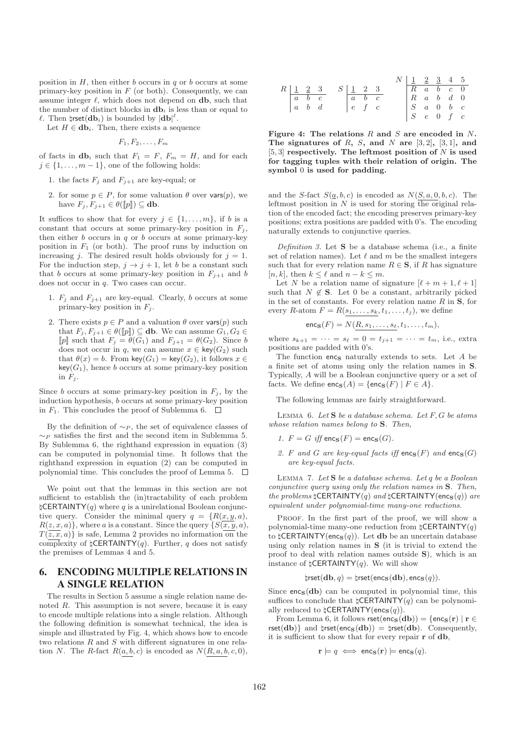position in  $H$ , then either  $b$  occurs in  $q$  or  $b$  occurs at some primary-key position in  $F$  (or both). Consequently, we can assume integer  $\ell$ , which does not depend on **db**, such that the number of distinct blocks in  $\mathbf{db}_i$  is less than or equal to  $\ell$ . Then  $\sharp \mathsf{rset}(\mathbf{db}_i)$  is bounded by  $|\mathbf{db}|^{\ell}$ .

Let  $H \in \textbf{db}_i$ . Then, there exists a sequence

$$
F_1, F_2, \ldots, F_m
$$

of facts in  **such that**  $F_1 = F$ **,**  $F_m = H$ **, and for each**  $j \in \{1, \ldots, m-1\}$ , one of the following holds:

- 1. the facts  $F_i$  and  $F_{i+1}$  are key-equal; or
- 2. for some  $p \in P$ , for some valuation  $\theta$  over vars $(p)$ , we have  $F_j, F_{j+1} \in \theta(\llbracket p \rrbracket) \subseteq$  db.

It suffices to show that for every  $j \in \{1, \ldots, m\}$ , if b is a constant that occurs at some primary-key position in  $F_i$ , then either  $b$  occurs in  $q$  or  $b$  occurs at some primary-key position in  $F_1$  (or both). The proof runs by induction on increasing j. The desired result holds obviously for  $j = 1$ . For the induction step,  $j \rightarrow j + 1$ , let b be a constant such that b occurs at some primary-key position in  $F_{j+1}$  and b does not occur in q. Two cases can occur.

- 1.  $F_j$  and  $F_{j+1}$  are key-equal. Clearly, b occurs at some primary-key position in  $F_j$ .
- 2. There exists  $p \in P$  and a valuation  $\theta$  over vars $(p)$  such that  $F_i, F_{i+1} \in \theta(\llbracket p \rrbracket) \subseteq$  db. We can assume  $G_1, G_2 \in$ [p] such that  $F_j = \theta(\overline{G_1})$  and  $F_{j+1} = \theta(G_2)$ . Since b does not occur in q, we can assume  $x \in \text{key}(G_2)$  such that  $\theta(x) = b$ . From key( $G_1$ ) = key( $G_2$ ), it follows  $x \in$  $key(G_1)$ , hence b occurs at some primary-key position in  $F_i$ .

Since b occurs at some primary-key position in  $F_j$ , by the induction hypothesis, b occurs at some primary-key position in  $F_1$ . This concludes the proof of Sublemma 6.

By the definition of  $\sim_P$ , the set of equivalence classes of  $∼P$  satisfies the first and the second item in Sublemma 5. By Sublemma 6, the righthand expression in equation (3) can be computed in polynomial time. It follows that the righthand expression in equation (2) can be computed in polynomial time. This concludes the proof of Lemma 5.  $\Box$ 

We point out that the lemmas in this section are not sufficient to establish the (in)tractability of each problem  $\sharp$ CERTAINTY(q) where q is a unirelational Boolean conjunctive query. Consider the minimal query  $q = \{R(x, y, a),\}$  $R(z, x, a)$ , where a is a constant. Since the query  $\{S(\overline{x}, y, a),\}$  $T(\overline{z}, \overline{x}, a)$  is safe, Lemma 2 provides no information on the complexity of  $\sharp$ CERTAINTY(q). Further, q does not satisfy the premises of Lemmas 4 and 5.

# 6. ENCODING MULTIPLE RELATIONS IN A SINGLE RELATION

The results in Section 5 assume a single relation name denoted R. This assumption is not severe, because it is easy to encode multiple relations into a single relation. Although the following definition is somewhat technical, the idea is simple and illustrated by Fig. 4, which shows how to encode two relations R and S with different signatures in one relation N. The R-fact  $R(a, b, c)$  is encoded as  $N(R, a, b, c, 0)$ ,

R 1 2 3 a b c a b d S 1 2 3 a b c e f c N 1 2 3 4 5 R a b c 0 R a b d 0 S a 0 b c S e 0 f c

Figure 4: The relations  $R$  and  $S$  are encoded in  $N$ . The signatures of R, S, and N are  $[3, 2]$ ,  $[3, 1]$ , and [5, 3] respectively. The leftmost position of  $N$  is used for tagging tuples with their relation of origin. The symbol 0 is used for padding.

and the S-fact  $S(\underline{a}, b, c)$  is encoded as  $N(S, a, 0, b, c)$ . The leftmost position in  $N$  is used for storing the original relation of the encoded fact; the encoding preserves primary-key positions; extra positions are padded with 0's. The encoding naturally extends to conjunctive queries.

Definition 3. Let  $S$  be a database schema (i.e., a finite set of relation names). Let  $\ell$  and  $m$  be the smallest integers such that for every relation name  $R \in \mathbf{S}$ , if R has signature [n, k], then  $k \leq \ell$  and  $n - k \leq m$ .

Let N be a relation name of signature  $[\ell + m + 1, \ell + 1]$ such that  $N \notin \mathbf{S}$ . Let 0 be a constant, arbitrarily picked in the set of constants. For every relation name  $R$  in  $S$ , for every R-atom  $F = R(s_1, \ldots, s_k, t_1, \ldots, t_j)$ , we define

$$
\mathsf{enc}_\mathbf{S}(F) = N(\underline{R}, s_1, \dots, s_\ell, t_1, \dots, t_m),
$$

where  $s_{k+1} = \cdots = s_{\ell} = 0 = t_{j+1} = \cdots = t_m$ , i.e., extra positions are padded with 0's.

The function  $enc_S$  naturally extends to sets. Let  $A$  be a finite set of atoms using only the relation names in S. Typically, A will be a Boolean conjunctive query or a set of facts. We define  $\mathsf{enc}_\mathbf{S}(A) = \{\mathsf{enc}_\mathbf{S}(F) \mid F \in A\}.$ 

The following lemmas are fairly straightforward.

LEMMA 6. Let  $S$  be a database schema. Let  $F, G$  be atoms whose relation names belong to **S**. Then,

- 1.  $F = G$  iff  $\mathsf{enc}_S(F) = \mathsf{enc}_S(G)$ .
- 2. F and G are key-equal facts iff  $\mathsf{enc}_\mathbf{S}(F)$  and  $\mathsf{enc}_\mathbf{S}(G)$ are key-equal facts.

LEMMA 7. Let  $S$  be a database schema. Let q be a Boolean conjunctive query using only the relation names in S. Then, the problems  $\mathsf{ICERTAINTY}(q)$  and  $\mathsf{ICERTAINTY}(enc_\mathbf{S}(q))$  are equivalent under polynomial-time many-one reductions.

PROOF. In the first part of the proof, we will show a polynomial-time many-one reduction from  $\sharp$ **CERTAINTY** $(q)$ to  $\sharp$ CERTAINTY(enc<sub>S</sub>(q)). Let **db** be an uncertain database using only relation names in S (it is trivial to extend the proof to deal with relation names outside S), which is an instance of  $\mathsf{ICERTAINTY}(q)$ . We will show

$$
\natural \mathsf{rset}(\mathbf{db}, q) = \natural \mathsf{rset}(\mathsf{enc}_\mathbf{S}(\mathbf{db}), \mathsf{enc}_\mathbf{S}(q)).
$$

Since  $encs(db)$  can be computed in polynomial time, this suffices to conclude that  $\sharp$ CERTAINTY(q) can be polynomially reduced to  $\sharp$ CERTAINTY(enc<sub>S</sub>(q)).

From Lemma 6, it follows  $\mathsf{rset}(\mathsf{enc}_\mathbf{S}(\mathbf{db})) = \{\mathsf{enc}_\mathbf{S}(\mathbf{r}) \mid \mathbf{r} \in$ rset(db)} and  $\text{Irset}(\text{cho}) = \text{Irset}(\text{db})$ . Consequently, it is sufficient to show that for every repair r of db,

$$
\mathbf{r} \models q \iff \mathsf{enc}_{\mathbf{S}}(\mathbf{r}) \models \mathsf{enc}_{\mathbf{S}}(q).
$$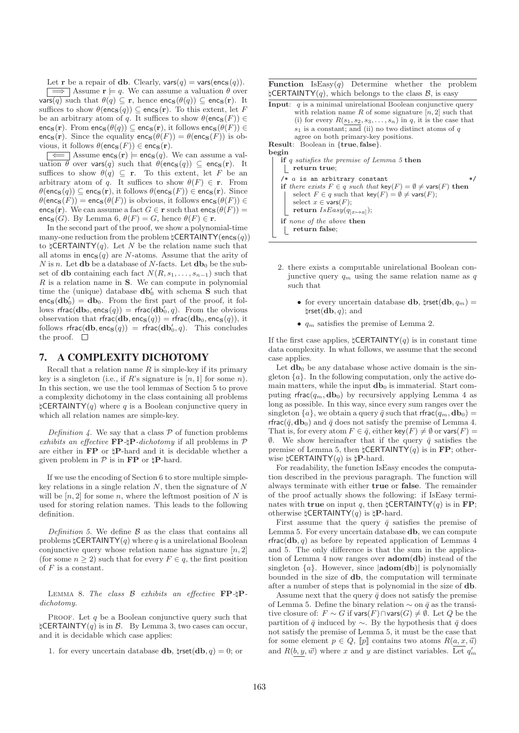Let **r** be a repair of **db**. Clearly,  $\text{vars}(q) = \text{vars}(\text{enc}_S(q)).$ 

 $\Box$  Assume  $\mathbf{r} \models q$ . We can assume a valuation  $\theta$  over  $\widehat{\text{vars}(q)}$  such that  $\theta(q) \subseteq \mathbf{r}$ , hence  $\text{enc}_{\mathbf{S}}(\theta(q)) \subseteq \text{enc}_{\mathbf{S}}(\mathbf{r})$ . It suffices to show  $\theta(\mathsf{enc}_\mathbf{S}(q)) \subseteq \mathsf{enc}_\mathbf{S}(\mathbf{r})$ . To this extent, let F be an arbitrary atom of q. It suffices to show  $\theta(\mathsf{enc}_\mathbf{S}(F)) \in$ enc<sub>S</sub>(r). From enc<sub>S</sub>( $\theta(q)$ )  $\subseteq$  enc<sub>S</sub>(r), it follows enc<sub>S</sub>( $\theta(F)$ )  $\in$ encs(r). Since the equality  $\mathsf{encs}(\theta(F)) = \theta(\mathsf{encs}(F))$  is obvious, it follows  $\theta(\mathsf{enc}_\mathbf{S}(F)) \in \mathsf{enc}_\mathbf{S}(\mathbf{r}).$ 

 $\boxed{\Longleftarrow}$  Assume encs(r)  $\models$  encs(q). We can assume a valuation  $\theta$  over vars(q) such that  $\theta(\mathsf{enc}_\mathbf{S}(q)) \subseteq \mathsf{enc}_\mathbf{S}(\mathbf{r})$ . It suffices to show  $\theta(q) \subseteq \mathbf{r}$ . To this extent, let F be an arbitrary atom of q. It suffices to show  $\theta(F) \in \mathbf{r}$ . From  $\theta(\mathsf{enc}_\mathbf{S}(q)) \subseteq \mathsf{enc}_\mathbf{S}(\mathbf{r}),$  it follows  $\theta(\mathsf{enc}_\mathbf{S}(F)) \in \mathsf{enc}_\mathbf{S}(\mathbf{r}).$  Since  $\theta(\mathsf{enc}_\mathbf{S}(F)) = \mathsf{enc}_\mathbf{S}(\theta(F))$  is obvious, it follows  $\mathsf{enc}_\mathbf{S}(\theta(F)) \in$ enc<sub>S</sub>(r). We can assume a fact  $G \in \mathbf{r}$  such that  $\mathsf{enc}_\mathbf{S}(\theta(F)) =$ enc<sub>S</sub>(G). By Lemma 6,  $\theta(F) = G$ , hence  $\theta(F) \in \mathbf{r}$ .

In the second part of the proof, we show a polynomial-time many-one reduction from the problem  $\sharp$ CERTAINTY(encs(q)) to  $\sharp$ **CERTAINTY** $(q)$ . Let N be the relation name such that all atoms in  $encs(q)$  are N-atoms. Assume that the arity of N is n. Let **db** be a database of N-facts. Let  $db_0$  be the subset of db containing each fact  $N(R, s_1, \ldots, s_{n-1})$  such that  $R$  is a relation name in  $S$ . We can compute in polynomial time the (unique) database  $\mathbf{db}'_0$  with schema **S** such that  $enc_S(db'_0) = db_0$ . From the first part of the proof, it follows rfrac $(\mathbf{db}_0, \mathsf{enc}_{\mathbf{S}}(q)) = \mathsf{rfrac}(\mathbf{db}'_0, q)$ . From the obvious observation that  $\textsf{rfrac}(\textbf{db}, \textsf{enc}_\textbf{S}(q)) = \textsf{rfrac}(\textbf{db}_0, \textsf{enc}_\textbf{S}(q))$ , it follows  $\mathsf{rfrac}(\mathbf{db}, \mathsf{enc}_{\mathbf{S}}(q)) = \mathsf{rfrac}(\mathbf{db}'_0, q)$ . This concludes the proof.  $\Box$ 

## 7. A COMPLEXITY DICHOTOMY

Recall that a relation name  $R$  is simple-key if its primary key is a singleton (i.e., if R's signature is  $[n, 1]$  for some n). In this section, we use the tool lemmas of Section 5 to prove a complexity dichotomy in the class containing all problems  $\sharp$ CERTAINTY(q) where q is a Boolean conjunctive query in which all relation names are simple-key.

Definition 4. We say that a class  $P$  of function problems exhibits an effective  $\mathbf{FP}\text{-}l\mathbf{P}\text{-}dichotomy$  if all problems in  $\mathcal P$ are either in FP or ♮P-hard and it is decidable whether a given problem in  $P$  is in **FP** or  $\sharp$ **P**-hard.

If we use the encoding of Section 6 to store multiple simplekey relations in a single relation  $N$ , then the signature of  $N$ will be  $[n, 2]$  for some n, where the leftmost position of N is used for storing relation names. This leads to the following definition.

Definition 5. We define  $\beta$  as the class that contains all problems  $\sharp$ **CERTAINTY**(q) where q is a unirelational Boolean conjunctive query whose relation name has signature  $[n, 2]$ (for some  $n \geq 2$ ) such that for every  $F \in q$ , the first position of  $F$  is a constant.

LEMMA 8. The class  $\beta$  exhibits an effective FP- $\Box$ Pdichotomy.

PROOF. Let  $q$  be a Boolean conjunctive query such that  $\sharp$ CERTAINTY(q) is in B. By Lemma 3, two cases can occur, and it is decidable which case applies:

1. for every uncertain database **db**,  $\sharp \text{rset}(\textbf{db}, q) = 0$ ; or

**Function** Is $\text{Easy}(q)$  Determine whether the problem  $\sharp$ CERTAINTY(q), which belongs to the class  $\mathcal{B}$ , is easy



- 2. there exists a computable unirelational Boolean conjunctive query  $q_m$  using the same relation name as q such that
	- for every uncertain database db,  $\sharp \mathsf{rset}(\mathbf{db}, q_m) =$  $\textsf{first}(\textbf{db}, q)$ ; and
	- $q_m$  satisfies the premise of Lemma 2.

If the first case applies,  $\sharp$ CERTAINTY(q) is in constant time data complexity. In what follows, we assume that the second case applies.

Let  $db_0$  be any database whose active domain is the singleton  $\{a\}$ . In the following computation, only the active domain matters, while the input  $db_0$  is immaterial. Start computing rfrac $(q_m, \mathbf{db}_0)$  by recursively applying Lemma 4 as long as possible. In this way, since every sum ranges over the singleton  $\{a\}$ , we obtain a query  $\bar{q}$  such that rfrac $(q_m, \textbf{db}_0)$  = rfrac( $\bar{q}$ , db<sub>0</sub>) and  $\bar{q}$  does not satisfy the premise of Lemma 4. That is, for every atom  $F \in \bar{q}$ , either key $(F) \neq \emptyset$  or vars $(F)$  =  $\emptyset$ . We show hereinafter that if the query  $\bar{q}$  satisfies the premise of Lemma 5, then  $\sharp$ CERTAINTY(q) is in FP; otherwise  $\sharp$ CERTAINTY $(q)$  is  $\natural$ P-hard.

For readability, the function IsEasy encodes the computation described in the previous paragraph. The function will always terminate with either true or false. The remainder of the proof actually shows the following: if IsEasy terminates with true on input q, then  $\sharp$ CERTAINTY(q) is in FP; otherwise  $\sharp$ CERTAINTY(q) is  $\natural$ P-hard.

First assume that the query  $\bar{q}$  satisfies the premise of Lemma 5. For every uncertain database db, we can compute rfrac(db, q) as before by repeated application of Lemmas 4 and 5. The only difference is that the sum in the application of Lemma 4 now ranges over adom(db) instead of the singleton  $\{a\}$ . However, since  $|{\bf adom}({\bf db})|$  is polynomially bounded in the size of db, the computation will terminate after a number of steps that is polynomial in the size of db.

Assume next that the query  $\bar{q}$  does not satisfy the premise of Lemma 5. Define the binary relation  $\sim$  on  $\bar{q}$  as the transitive closure of:  $F \sim G$  if vars $(F) \cap \text{vars}(G) \neq \emptyset$ . Let  $Q$  be the partition of  $\bar{q}$  induced by ∼. By the hypothesis that  $\bar{q}$  does not satisfy the premise of Lemma 5, it must be the case that for some element  $p \in Q$ ,  $[p]$  contains two atoms  $R(a, x, \vec{u})$ and  $R(b, y, \vec{w})$  where x and y are distinct variables. Let  $q'_m$